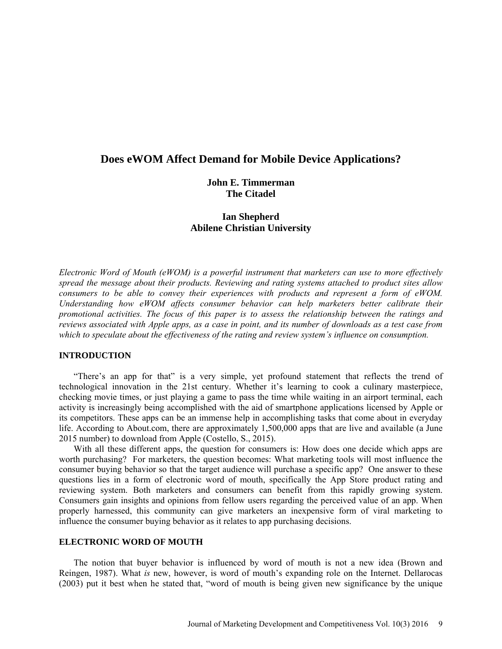# **Does eWOM Affect Demand for Mobile Device Applications?**

## **John E. Timmerman The Citadel**

## **Ian Shepherd Abilene Christian University**

*Electronic Word of Mouth (eWOM) is a powerful instrument that marketers can use to more effectively spread the message about their products. Reviewing and rating systems attached to product sites allow consumers to be able to convey their experiences with products and represent a form of eWOM. Understanding how eWOM affects consumer behavior can help marketers better calibrate their promotional activities. The focus of this paper is to assess the relationship between the ratings and reviews associated with Apple apps, as a case in point, and its number of downloads as a test case from which to speculate about the effectiveness of the rating and review system's influence on consumption.* 

### **INTRODUCTION**

"There's an app for that" is a very simple, yet profound statement that reflects the trend of technological innovation in the 21st century. Whether it's learning to cook a culinary masterpiece, checking movie times, or just playing a game to pass the time while waiting in an airport terminal, each activity is increasingly being accomplished with the aid of smartphone applications licensed by Apple or its competitors. These apps can be an immense help in accomplishing tasks that come about in everyday life. According to About.com, there are approximately 1,500,000 apps that are live and available (a June 2015 number) to download from Apple (Costello, S., 2015).

With all these different apps, the question for consumers is: How does one decide which apps are worth purchasing? For marketers, the question becomes: What marketing tools will most influence the consumer buying behavior so that the target audience will purchase a specific app? One answer to these questions lies in a form of electronic word of mouth, specifically the App Store product rating and reviewing system. Both marketers and consumers can benefit from this rapidly growing system. Consumers gain insights and opinions from fellow users regarding the perceived value of an app. When properly harnessed, this community can give marketers an inexpensive form of viral marketing to influence the consumer buying behavior as it relates to app purchasing decisions.

### **ELECTRONIC WORD OF MOUTH**

The notion that buyer behavior is influenced by word of mouth is not a new idea (Brown and Reingen, 1987). What *is* new, however, is word of mouth's expanding role on the Internet. Dellarocas (2003) put it best when he stated that, "word of mouth is being given new significance by the unique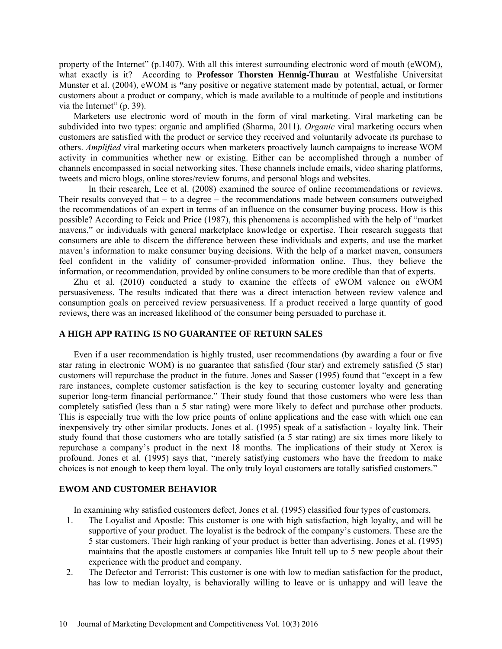property of the Internet" (p.1407). With all this interest surrounding electronic word of mouth (eWOM), what exactly is it? According to **Professor Thorsten Hennig-Thurau** at Westfalishe Universitat Munster et al. (2004), eWOM is **"**any positive or negative statement made by potential, actual, or former customers about a product or company, which is made available to a multitude of people and institutions via the Internet" (p. 39).

Marketers use electronic word of mouth in the form of viral marketing. Viral marketing can be subdivided into two types: organic and amplified (Sharma, 2011). *Organic* viral marketing occurs when customers are satisfied with the product or service they received and voluntarily advocate its purchase to others. *Amplified* viral marketing occurs when marketers proactively launch campaigns to increase WOM activity in communities whether new or existing. Either can be accomplished through a number of channels encompassed in social networking sites. These channels include emails, video sharing platforms, tweets and micro blogs, online stores/review forums, and personal blogs and websites.

In their research, Lee et al. (2008) examined the source of online recommendations or reviews. Their results conveyed that – to a degree – the recommendations made between consumers outweighed the recommendations of an expert in terms of an influence on the consumer buying process. How is this possible? According to Feick and Price (1987), this phenomena is accomplished with the help of "market mavens," or individuals with general marketplace knowledge or expertise. Their research suggests that consumers are able to discern the difference between these individuals and experts, and use the market maven's information to make consumer buying decisions. With the help of a market maven, consumers feel confident in the validity of consumer-provided information online. Thus, they believe the information, or recommendation, provided by online consumers to be more credible than that of experts.

Zhu et al. (2010) conducted a study to examine the effects of eWOM valence on eWOM persuasiveness. The results indicated that there was a direct interaction between review valence and consumption goals on perceived review persuasiveness. If a product received a large quantity of good reviews, there was an increased likelihood of the consumer being persuaded to purchase it.

## **A HIGH APP RATING IS NO GUARANTEE OF RETURN SALES**

Even if a user recommendation is highly trusted, user recommendations (by awarding a four or five star rating in electronic WOM) is no guarantee that satisfied (four star) and extremely satisfied (5 star) customers will repurchase the product in the future. Jones and Sasser (1995) found that "except in a few rare instances, complete customer satisfaction is the key to securing customer loyalty and generating superior long-term financial performance." Their study found that those customers who were less than completely satisfied (less than a 5 star rating) were more likely to defect and purchase other products. This is especially true with the low price points of online applications and the ease with which one can inexpensively try other similar products. Jones et al. (1995) speak of a satisfaction - loyalty link. Their study found that those customers who are totally satisfied (a 5 star rating) are six times more likely to repurchase a company's product in the next 18 months. The implications of their study at Xerox is profound. Jones et al. (1995) says that, "merely satisfying customers who have the freedom to make choices is not enough to keep them loyal. The only truly loyal customers are totally satisfied customers."

### **EWOM AND CUSTOMER BEHAVIOR**

In examining why satisfied customers defect, Jones et al. (1995) classified four types of customers.

- 1. The Loyalist and Apostle: This customer is one with high satisfaction, high loyalty, and will be supportive of your product. The loyalist is the bedrock of the company's customers. These are the 5 star customers. Their high ranking of your product is better than advertising. Jones et al. (1995) maintains that the apostle customers at companies like Intuit tell up to 5 new people about their experience with the product and company.
- 2. The Defector and Terrorist: This customer is one with low to median satisfaction for the product, has low to median loyalty, is behaviorally willing to leave or is unhappy and will leave the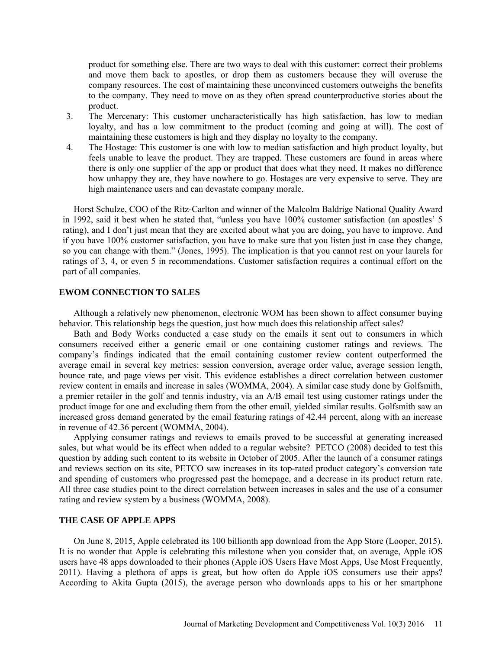product for something else. There are two ways to deal with this customer: correct their problems and move them back to apostles, or drop them as customers because they will overuse the company resources. The cost of maintaining these unconvinced customers outweighs the benefits to the company. They need to move on as they often spread counterproductive stories about the product.

- 3. The Mercenary: This customer uncharacteristically has high satisfaction, has low to median loyalty, and has a low commitment to the product (coming and going at will). The cost of maintaining these customers is high and they display no loyalty to the company.
- 4. The Hostage: This customer is one with low to median satisfaction and high product loyalty, but feels unable to leave the product. They are trapped. These customers are found in areas where there is only one supplier of the app or product that does what they need. It makes no difference how unhappy they are, they have nowhere to go. Hostages are very expensive to serve. They are high maintenance users and can devastate company morale.

Horst Schulze, COO of the Ritz-Carlton and winner of the Malcolm Baldrige National Quality Award in 1992, said it best when he stated that, "unless you have 100% customer satisfaction (an apostles' 5 rating), and I don't just mean that they are excited about what you are doing, you have to improve. And if you have 100% customer satisfaction, you have to make sure that you listen just in case they change, so you can change with them." (Jones, 1995). The implication is that you cannot rest on your laurels for ratings of 3, 4, or even 5 in recommendations. Customer satisfaction requires a continual effort on the part of all companies.

## **EWOM CONNECTION TO SALES**

Although a relatively new phenomenon, electronic WOM has been shown to affect consumer buying behavior. This relationship begs the question, just how much does this relationship affect sales?

Bath and Body Works conducted a case study on the emails it sent out to consumers in which consumers received either a generic email or one containing customer ratings and reviews. The company's findings indicated that the email containing customer review content outperformed the average email in several key metrics: session conversion, average order value, average session length, bounce rate, and page views per visit. This evidence establishes a direct correlation between customer review content in emails and increase in sales (WOMMA, 2004). A similar case study done by Golfsmith, a premier retailer in the golf and tennis industry, via an A/B email test using customer ratings under the product image for one and excluding them from the other email, yielded similar results. Golfsmith saw an increased gross demand generated by the email featuring ratings of 42.44 percent, along with an increase in revenue of 42.36 percent (WOMMA, 2004).

Applying consumer ratings and reviews to emails proved to be successful at generating increased sales, but what would be its effect when added to a regular website? PETCO (2008) decided to test this question by adding such content to its website in October of 2005. After the launch of a consumer ratings and reviews section on its site, PETCO saw increases in its top-rated product category's conversion rate and spending of customers who progressed past the homepage, and a decrease in its product return rate. All three case studies point to the direct correlation between increases in sales and the use of a consumer rating and review system by a business (WOMMA, 2008).

## **THE CASE OF APPLE APPS**

On June 8, 2015, Apple celebrated its 100 billionth app download from the App Store (Looper, 2015). It is no wonder that Apple is celebrating this milestone when you consider that, on average, Apple iOS users have 48 apps downloaded to their phones (Apple iOS Users Have Most Apps, Use Most Frequently, 2011). Having a plethora of apps is great, but how often do Apple iOS consumers use their apps? According to Akita Gupta (2015), the average person who downloads apps to his or her smartphone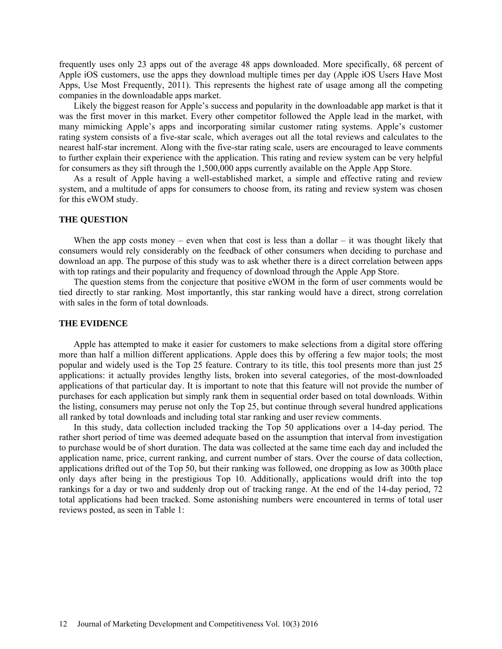frequently uses only 23 apps out of the average 48 apps downloaded. More specifically, 68 percent of Apple iOS customers, use the apps they download multiple times per day (Apple iOS Users Have Most Apps, Use Most Frequently, 2011). This represents the highest rate of usage among all the competing companies in the downloadable apps market.

Likely the biggest reason for Apple's success and popularity in the downloadable app market is that it was the first mover in this market. Every other competitor followed the Apple lead in the market, with many mimicking Apple's apps and incorporating similar customer rating systems. Apple's customer rating system consists of a five-star scale, which averages out all the total reviews and calculates to the nearest half-star increment. Along with the five-star rating scale, users are encouraged to leave comments to further explain their experience with the application. This rating and review system can be very helpful for consumers as they sift through the 1,500,000 apps currently available on the Apple App Store.

As a result of Apple having a well-established market, a simple and effective rating and review system, and a multitude of apps for consumers to choose from, its rating and review system was chosen for this eWOM study.

#### **THE QUESTION**

When the app costs money – even when that cost is less than a dollar – it was thought likely that consumers would rely considerably on the feedback of other consumers when deciding to purchase and download an app. The purpose of this study was to ask whether there is a direct correlation between apps with top ratings and their popularity and frequency of download through the Apple App Store.

The question stems from the conjecture that positive eWOM in the form of user comments would be tied directly to star ranking. Most importantly, this star ranking would have a direct, strong correlation with sales in the form of total downloads.

#### **THE EVIDENCE**

Apple has attempted to make it easier for customers to make selections from a digital store offering more than half a million different applications. Apple does this by offering a few major tools; the most popular and widely used is the Top 25 feature. Contrary to its title, this tool presents more than just 25 applications: it actually provides lengthy lists, broken into several categories, of the most-downloaded applications of that particular day. It is important to note that this feature will not provide the number of purchases for each application but simply rank them in sequential order based on total downloads. Within the listing, consumers may peruse not only the Top 25, but continue through several hundred applications all ranked by total downloads and including total star ranking and user review comments.

In this study, data collection included tracking the Top 50 applications over a 14-day period. The rather short period of time was deemed adequate based on the assumption that interval from investigation to purchase would be of short duration. The data was collected at the same time each day and included the application name, price, current ranking, and current number of stars. Over the course of data collection, applications drifted out of the Top 50, but their ranking was followed, one dropping as low as 300th place only days after being in the prestigious Top 10. Additionally, applications would drift into the top rankings for a day or two and suddenly drop out of tracking range. At the end of the 14-day period, 72 total applications had been tracked. Some astonishing numbers were encountered in terms of total user reviews posted, as seen in Table 1: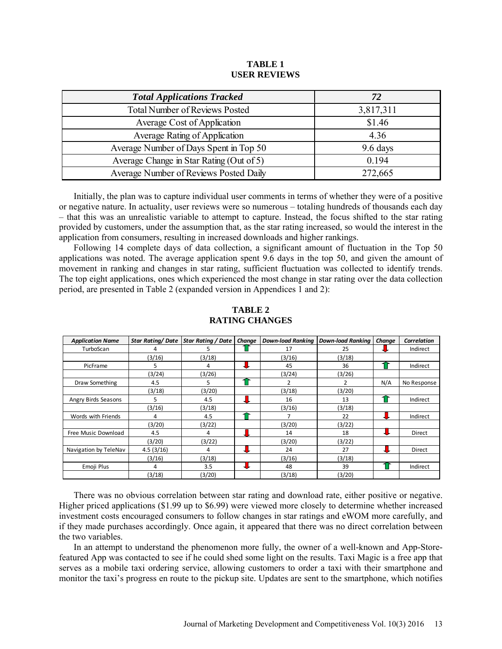#### **TABLE 1 USER REVIEWS**

| <b>Total Applications Tracked</b>        | 72         |  |  |
|------------------------------------------|------------|--|--|
| <b>Total Number of Reviews Posted</b>    | 3,817,311  |  |  |
| Average Cost of Application              | \$1.46     |  |  |
| Average Rating of Application            | 4.36       |  |  |
| Average Number of Days Spent in Top 50   | $9.6$ days |  |  |
| Average Change in Star Rating (Out of 5) | 0.194      |  |  |
| Average Number of Reviews Posted Daily   | 272,665    |  |  |

Initially, the plan was to capture individual user comments in terms of whether they were of a positive or negative nature. In actuality, user reviews were so numerous – totaling hundreds of thousands each day – that this was an unrealistic variable to attempt to capture. Instead, the focus shifted to the star rating provided by customers, under the assumption that, as the star rating increased, so would the interest in the application from consumers, resulting in increased downloads and higher rankings.

Following 14 complete days of data collection, a significant amount of fluctuation in the Top 50 applications was noted. The average application spent 9.6 days in the top 50, and given the amount of movement in ranking and changes in star rating, sufficient fluctuation was collected to identify trends. The top eight applications, ones which experienced the most change in star rating over the data collection period, are presented in Table 2 (expanded version in Appendices 1 and 2):

| <b>Application Name</b> | <b>Star Rating/Date</b> | Star Rating / Date | Change | Down-load Rankina   Down-load Rankina |        | Change | Correlation |
|-------------------------|-------------------------|--------------------|--------|---------------------------------------|--------|--------|-------------|
| TurboScan               | 4                       | 5.                 |        | 17                                    | 25     |        | Indirect    |
|                         | (3/16)                  | (3/18)             |        | (3/16)                                | (3/18) |        |             |
| PicFrame                | 5                       | 4                  |        | 45                                    | 36     |        | Indirect    |
|                         | (3/24)                  | (3/26)             |        | (3/24)                                | (3/26) |        |             |
| Draw Something          | 4.5                     | 5.                 |        |                                       | 2      | N/A    | No Response |
|                         | (3/18)                  | (3/20)             |        | (3/18)                                | (3/20) |        |             |
| Angry Birds Seasons     | 5.                      | 4.5                |        | 16                                    | 13     |        | Indirect    |
|                         | (3/16)                  | (3/18)             |        | (3/16)                                | (3/18) |        |             |
| Words with Friends      | 4                       | 4.5                |        |                                       | 22     |        | Indirect    |
|                         | (3/20)                  | (3/22)             |        | (3/20)                                | (3/22) |        |             |
| Free Music Download     | 4.5                     | 4                  |        | 14                                    | 18     |        | Direct      |
|                         | (3/20)                  | (3/22)             |        | (3/20)                                | (3/22) |        |             |
| Navigation by TeleNav   | 4.5(3/16)               | 4                  |        | 24                                    | 27     |        | Direct      |
|                         | (3/16)                  | (3/18)             |        | (3/16)                                | (3/18) |        |             |
| Emoji Plus              | 4                       | 3.5                | ┺      | 48                                    | 39     |        | Indirect    |
|                         | (3/18)                  | (3/20)             |        | (3/18)                                | (3/20) |        |             |

## **TABLE 2 RATING CHANGES**

There was no obvious correlation between star rating and download rate, either positive or negative. Higher priced applications (\$1.99 up to \$6.99) were viewed more closely to determine whether increased investment costs encouraged consumers to follow changes in star ratings and eWOM more carefully, and if they made purchases accordingly. Once again, it appeared that there was no direct correlation between the two variables.

In an attempt to understand the phenomenon more fully, the owner of a well-known and App-Storefeatured App was contacted to see if he could shed some light on the results. Taxi Magic is a free app that serves as a mobile taxi ordering service, allowing customers to order a taxi with their smartphone and monitor the taxi's progress en route to the pickup site. Updates are sent to the smartphone, which notifies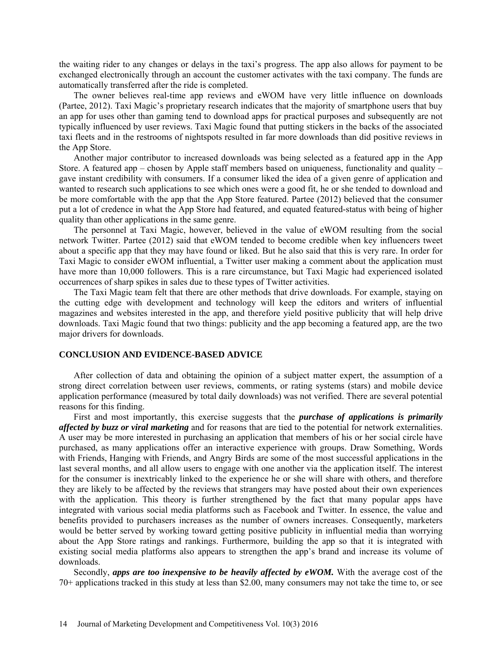the waiting rider to any changes or delays in the taxi's progress. The app also allows for payment to be exchanged electronically through an account the customer activates with the taxi company. The funds are automatically transferred after the ride is completed.

The owner believes real-time app reviews and eWOM have very little influence on downloads (Partee, 2012). Taxi Magic's proprietary research indicates that the majority of smartphone users that buy an app for uses other than gaming tend to download apps for practical purposes and subsequently are not typically influenced by user reviews. Taxi Magic found that putting stickers in the backs of the associated taxi fleets and in the restrooms of nightspots resulted in far more downloads than did positive reviews in the App Store.

Another major contributor to increased downloads was being selected as a featured app in the App Store. A featured app – chosen by Apple staff members based on uniqueness, functionality and quality – gave instant credibility with consumers. If a consumer liked the idea of a given genre of application and wanted to research such applications to see which ones were a good fit, he or she tended to download and be more comfortable with the app that the App Store featured. Partee (2012) believed that the consumer put a lot of credence in what the App Store had featured, and equated featured-status with being of higher quality than other applications in the same genre.

The personnel at Taxi Magic, however, believed in the value of eWOM resulting from the social network Twitter. Partee (2012) said that eWOM tended to become credible when key influencers tweet about a specific app that they may have found or liked. But he also said that this is very rare. In order for Taxi Magic to consider eWOM influential, a Twitter user making a comment about the application must have more than 10,000 followers. This is a rare circumstance, but Taxi Magic had experienced isolated occurrences of sharp spikes in sales due to these types of Twitter activities.

The Taxi Magic team felt that there are other methods that drive downloads. For example, staying on the cutting edge with development and technology will keep the editors and writers of influential magazines and websites interested in the app, and therefore yield positive publicity that will help drive downloads. Taxi Magic found that two things: publicity and the app becoming a featured app, are the two major drivers for downloads.

#### **CONCLUSION AND EVIDENCE-BASED ADVICE**

After collection of data and obtaining the opinion of a subject matter expert, the assumption of a strong direct correlation between user reviews, comments, or rating systems (stars) and mobile device application performance (measured by total daily downloads) was not verified. There are several potential reasons for this finding.

First and most importantly, this exercise suggests that the *purchase of applications is primarily affected by buzz or viral marketing* and for reasons that are tied to the potential for network externalities. A user may be more interested in purchasing an application that members of his or her social circle have purchased, as many applications offer an interactive experience with groups. Draw Something, Words with Friends, Hanging with Friends, and Angry Birds are some of the most successful applications in the last several months, and all allow users to engage with one another via the application itself. The interest for the consumer is inextricably linked to the experience he or she will share with others, and therefore they are likely to be affected by the reviews that strangers may have posted about their own experiences with the application. This theory is further strengthened by the fact that many popular apps have integrated with various social media platforms such as Facebook and Twitter. In essence, the value and benefits provided to purchasers increases as the number of owners increases. Consequently, marketers would be better served by working toward getting positive publicity in influential media than worrying about the App Store ratings and rankings. Furthermore, building the app so that it is integrated with existing social media platforms also appears to strengthen the app's brand and increase its volume of downloads.

Secondly, *apps are too inexpensive to be heavily affected by eWOM.* With the average cost of the 70+ applications tracked in this study at less than \$2.00, many consumers may not take the time to, or see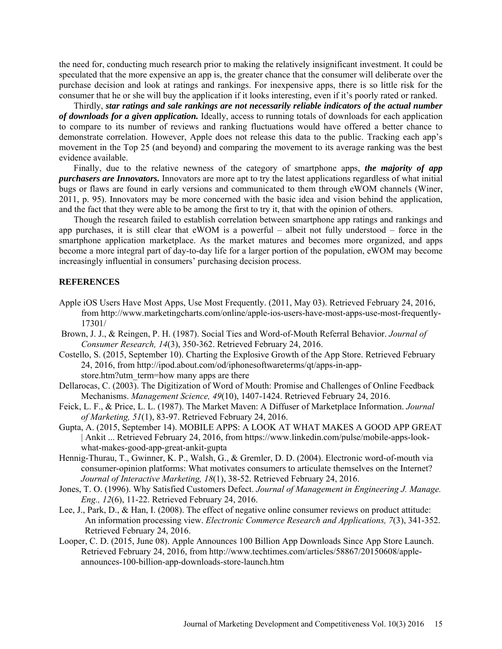the need for, conducting much research prior to making the relatively insignificant investment. It could be speculated that the more expensive an app is, the greater chance that the consumer will deliberate over the purchase decision and look at ratings and rankings. For inexpensive apps, there is so little risk for the consumer that he or she will buy the application if it looks interesting, even if it's poorly rated or ranked.

Thirdly, *star ratings and sale rankings are not necessarily reliable indicators of the actual number of downloads for a given application.* Ideally, access to running totals of downloads for each application to compare to its number of reviews and ranking fluctuations would have offered a better chance to demonstrate correlation. However, Apple does not release this data to the public. Tracking each app's movement in the Top 25 (and beyond) and comparing the movement to its average ranking was the best evidence available.

Finally, due to the relative newness of the category of smartphone apps, *the majority of app purchasers are Innovators.* Innovators are more apt to try the latest applications regardless of what initial bugs or flaws are found in early versions and communicated to them through eWOM channels (Winer, 2011, p. 95). Innovators may be more concerned with the basic idea and vision behind the application, and the fact that they were able to be among the first to try it, that with the opinion of others.

Though the research failed to establish correlation between smartphone app ratings and rankings and app purchases, it is still clear that eWOM is a powerful – albeit not fully understood – force in the smartphone application marketplace. As the market matures and becomes more organized, and apps become a more integral part of day-to-day life for a larger portion of the population, eWOM may become increasingly influential in consumers' purchasing decision process.

#### **REFERENCES**

- Apple iOS Users Have Most Apps, Use Most Frequently. (2011, May 03). Retrieved February 24, 2016, from http://www.marketingcharts.com/online/apple-ios-users-have-most-apps-use-most-frequently-17301/
- Brown, J. J., & Reingen, P. H. (1987). Social Ties and Word-of-Mouth Referral Behavior. *Journal of Consumer Research, 14*(3), 350-362. Retrieved February 24, 2016.
- Costello, S. (2015, September 10). Charting the Explosive Growth of the App Store. Retrieved February 24, 2016, from http://ipod.about.com/od/iphonesoftwareterms/qt/apps-in-appstore.htm?utm\_term=how many apps are there
- Dellarocas, C. (2003). The Digitization of Word of Mouth: Promise and Challenges of Online Feedback Mechanisms. *Management Science, 49*(10), 1407-1424. Retrieved February 24, 2016.
- Feick, L. F., & Price, L. L. (1987). The Market Maven: A Diffuser of Marketplace Information. *Journal of Marketing, 51*(1), 83-97. Retrieved February 24, 2016.
- Gupta, A. (2015, September 14). MOBILE APPS: A LOOK AT WHAT MAKES A GOOD APP GREAT | Ankit ... Retrieved February 24, 2016, from https://www.linkedin.com/pulse/mobile-apps-lookwhat-makes-good-app-great-ankit-gupta
- Hennig-Thurau, T., Gwinner, K. P., Walsh, G., & Gremler, D. D. (2004). Electronic word-of-mouth via consumer-opinion platforms: What motivates consumers to articulate themselves on the Internet? *Journal of Interactive Marketing, 18*(1), 38-52. Retrieved February 24, 2016.
- Jones, T. O. (1996). Why Satisfied Customers Defect. *Journal of Management in Engineering J. Manage. Eng., 12*(6), 11-22. Retrieved February 24, 2016.
- Lee, J., Park, D., & Han, I. (2008). The effect of negative online consumer reviews on product attitude: An information processing view. *Electronic Commerce Research and Applications, 7*(3), 341-352. Retrieved February 24, 2016.
- Looper, C. D. (2015, June 08). Apple Announces 100 Billion App Downloads Since App Store Launch. Retrieved February 24, 2016, from http://www.techtimes.com/articles/58867/20150608/appleannounces-100-billion-app-downloads-store-launch.htm